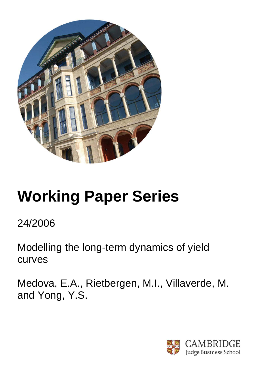

# **Working Paper Series**

# 24/2006

Modelling the long-term dynamics of yield curves

Medova, E.A., Rietbergen, M.I., Villaverde, M. and Yong, Y.S.

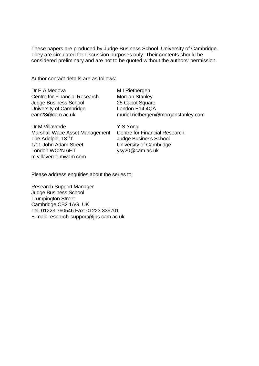These papers are produced by Judge Business School, University of Cambridge. They are circulated for discussion purposes only. Their contents should be considered preliminary and are not to be quoted without the authors' permission.

Author contact details are as follows:

| Dr E A Medova                        | M I Rietbergen                      |
|--------------------------------------|-------------------------------------|
| <b>Centre for Financial Research</b> | <b>Morgan Stanley</b>               |
| <b>Judge Business School</b>         | 25 Cabot Square                     |
| University of Cambridge              | London E14 4QA                      |
| eam28@cam.ac.uk                      | muriel.rietbergen@morganstanley.com |
|                                      |                                     |

Dr M Villaverde Marshall Wace Asset Management The Adelphi,  $13<sup>th</sup>$  fl 1/11 John Adam Street London WC2N 6HT m.villaverde.mwam.com

Y S Yong Centre for Financial Research Judge Business School University of Cambridge ysy20@cam.ac.uk

Please address enquiries about the series to:

Research Support Manager Judge Business School Trumpington Street Cambridge CB2 1AG, UK Tel: 01223 760546 Fax: 01223 339701 E-mail: research-support@jbs.cam.ac.uk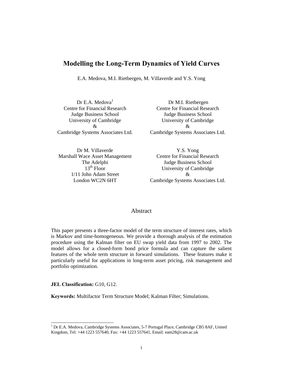### **Modelling the Long-Term Dynamics of Yield Curves**

E.A. Medova, M.I. Rietbergen, M. Villaverde and Y.S. Yong

Dr E.A. Medova $<sup>1</sup>$ </sup> Centre for Financial Research Judge Business School University of Cambridge & Cambridge Systems Associates Ltd.

Dr M. Villaverde Marshall Wace Asset Management The Adelphi  $13<sup>th</sup>$  Floor 1/11 John Adam Street London WC2N 6HT

 Dr M.I. Rietbergen Centre for Financial Research Judge Business School University of Cambridge & Cambridge Systems Associates Ltd.

Y.S. Yong Centre for Financial Research Judge Business School University of Cambridge & Cambridge Systems Associates Ltd.

#### Abstract

This paper presents a three-factor model of the term structure of interest rates, which is Markov and time-homogeneous. We provide a thorough analysis of the estimation procedure using the Kalman filter on EU swap yield data from 1997 to 2002. The model allows for a closed-form bond price formula and can capture the salient features of the whole term structure in forward simulations. These features make it particularly useful for applications in long-term asset pricing, risk management and portfolio optimization.

**JEL Classification:** G10, G12.

l

**Keywords:** Multifactor Term Structure Model; Kalman Filter; Simulations.

<sup>&</sup>lt;sup>1</sup> Dr E.A. Medova, Cambridge Systems Associates, 5-7 Portugal Place, Cambridge CB5 8AF, United Kingdom, Tel: +44 1223 557640, Fax: +44 1223 557641, Email: eam28@cam.ac.uk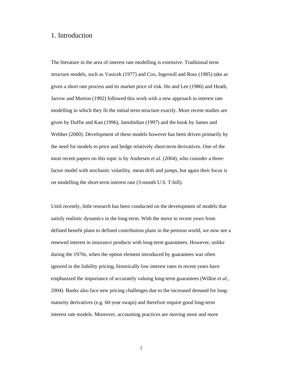#### 1. Introduction

The literature in the area of interest rate modelling is extensive. Traditional term structure models, such as Vasicek (1977) and Cox, Ingersoll and Ross (1985) take as given a short rate process and its market price of risk. Ho and Lee (1986) and Heath, Jarrow and Morton (1992) followed this work with a new approach to interest rate modelling in which they fit the initial term structure exactly. More recent studies are given by Duffie and Kan (1996), Jamshidian (1997) and the book by James and Webber (2000). Development of these models however has been driven primarily by the need for models to price and hedge relatively short-term derivatives. One of the most recent papers on this topic is by Andersen *et al.* (2004), who consider a threefactor model with stochastic volatility, mean drift and jumps, but again their focus is on modelling the short-term interest rate (3-month U.S. T-bill).

Until recently, little research has been conducted on the development of models that satisfy realistic dynamics in the long-term. With the move in recent years from defined benefit plans to defined contribution plans in the pension world, we now see a renewed interest in insurance products with long-term guarantees. However, unlike during the 1970s, when the option element introduced by guarantees was often ignored in the liability pricing, historically low interest rates in recent years have emphasized the importance of accurately valuing long-term guarantees (Wilkie *et al.*, 2004). Banks also face new pricing challenges due to the increased demand for longmaturity derivatives (e.g. 60-year swaps) and therefore require good long-term interest rate models. Moreover, accounting practices are moving more and more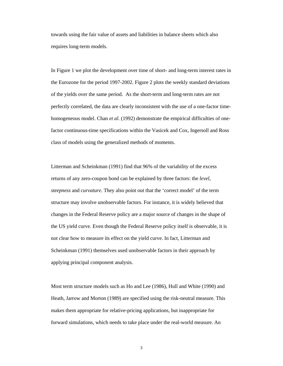towards using the fair value of assets and liabilities in balance sheets which also requires long-term models.

In Figure 1 we plot the development over time of short- and long-term interest rates in the Eurozone for the period 1997-2002. Figure 2 plots the weekly standard deviations of the yields over the same period. As the short-term and long-term rates are not perfectly correlated, the data are clearly inconsistent with the use of a one-factor timehomogeneous model. Chan *et al.* (1992) demonstrate the empirical difficulties of onefactor continuous-time specifications within the Vasicek and Cox, Ingersoll and Ross class of models using the generalized methods of moments.

Litterman and Scheinkman (1991) find that 96% of the variability of the excess returns of any zero-coupon bond can be explained by three factors: the *level*, *steepness* and *curvature*. They also point out that the 'correct model' of the term structure may involve unobservable factors. For instance, it is widely believed that changes in the Federal Reserve policy are a major source of changes in the shape of the US yield curve. Even though the Federal Reserve policy itself is observable, it is not clear how to measure its effect on the yield curve. In fact, Litterman and Scheinkman (1991) themselves used unobservable factors in their approach by applying principal component analysis.

Most term structure models such as Ho and Lee (1986), Hull and White (1990) and Heath, Jarrow and Morton (1989) are specified using the risk-neutral measure. This makes them appropriate for relative-pricing applications, but inappropriate for forward simulations, which needs to take place under the real-world measure. An

3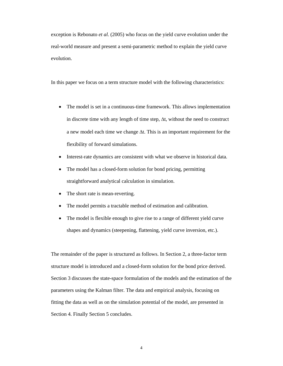exception is Rebonato *et al.* (2005) who focus on the yield curve evolution under the real-world measure and present a semi-parametric method to explain the yield curve evolution.

In this paper we focus on a term structure model with the following characteristics:

- The model is set in a continuous-time framework. This allows implementation in discrete time with any length of time step, Δt, without the need to construct a new model each time we change Δt. This is an important requirement for the flexibility of forward simulations.
- Interest-rate dynamics are consistent with what we observe in historical data.
- The model has a closed-form solution for bond pricing, permitting straightforward analytical calculation in simulation.
- The short rate is mean-reverting.
- The model permits a tractable method of estimation and calibration.
- The model is flexible enough to give rise to a range of different yield curve shapes and dynamics (steepening, flattening, yield curve inversion, etc.).

The remainder of the paper is structured as follows. In Section 2, a three-factor term structure model is introduced and a closed-form solution for the bond price derived. Section 3 discusses the state-space formulation of the models and the estimation of the parameters using the Kalman filter. The data and empirical analysis, focusing on fitting the data as well as on the simulation potential of the model, are presented in Section 4. Finally Section 5 concludes.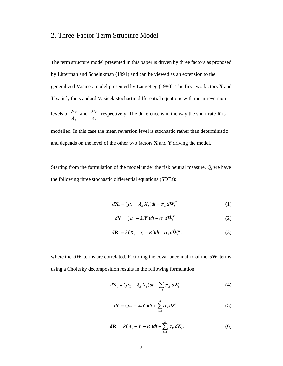# 2. Three-Factor Term Structure Model

The term structure model presented in this paper is driven by three factors as proposed by Litterman and Scheinkman (1991) and can be viewed as an extension to the generalized Vasicek model presented by Langetieg (1980). The first two factors **X** and **Y** satisfy the standard Vasicek stochastic differential equations with mean reversion levels of  $\frac{\mu_X}{\sigma_X}$ *X* μ  $\frac{\mu_X}{\lambda_y}$  and  $\frac{\mu_Y}{\lambda_y}$ *Y*  $\frac{\mu_Y}{\lambda_Y}$  respectively. The difference is in the way the short rate **R** is

modelled. In this case the mean reversion level is stochastic rather than deterministic and depends on the level of the other two factors **X** and **Y** driving the model.

Starting from the formulation of the model under the risk neutral measure, *Q*, we have the following three stochastic differential equations (SDEs):

$$
d\mathbf{X}_{t} = (\mu_{X} - \lambda_{X} X_{t})dt + \sigma_{X} d\tilde{\mathbf{W}}_{t}^{X}
$$
\n(1)

$$
d\mathbf{Y}_{t} = (\mu_{Y} - \lambda_{Y} Y_{t})dt + \sigma_{Y} d\tilde{\mathbf{W}}_{t}^{Y}
$$
 (2)

$$
d\mathbf{R}_t = k(X_t + Y_t - R_t)dt + \sigma_R d\tilde{\mathbf{W}}_t^R,
$$
\n(3)

where the  $d\tilde{W}$  terms are correlated. Factoring the covariance matrix of the  $d\tilde{W}$  terms using a Cholesky decomposition results in the following formulation:

$$
d\mathbf{X}_{t} = (\mu_{X} - \lambda_{X} X_{t})dt + \sum_{i=1}^{3} \sigma_{X_{i}} d\mathbf{Z}_{t}^{i}
$$
(4)

$$
d\mathbf{Y}_{t} = (\mu_{Y} - \lambda_{Y} Y_{t})dt + \sum_{i=1}^{3} \sigma_{Y_{i}} d\mathbf{Z}_{t}^{i}
$$
 (5)

$$
d\mathbf{R}_t = k(X_t + Y_t - R_t)dt + \sum_{i=1}^3 \sigma_{R_i} d\mathbf{Z}_t^i,
$$
\n(6)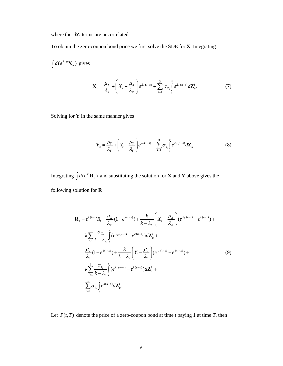where the *d***Z** terms are uncorrelated.

To obtain the zero-coupon bond price we first solve the SDE for **X**. Integrating

$$
\int d(e^{\lambda_x u} \mathbf{X}_u) \text{ gives}
$$
\n
$$
\mathbf{X}_s = \frac{\mu_x}{\lambda_x} + \left( X_t - \frac{\mu_x}{\lambda_x} \right) e^{\lambda_x (t-s)} + \sum_{i=1}^3 \sigma_{x_i} \int_t^s e^{\lambda_x (u-s)} d\mathbf{Z}_u^i.
$$
\n(7)

Solving for **Y** in the same manner gives

$$
\mathbf{Y}_s = \frac{\mu_Y}{\lambda_Y} + \left(Y_t - \frac{\mu_Y}{\lambda_Y}\right) e^{\lambda_Y(t-s)} + \sum_{i=1}^3 \sigma_{Y_i} \int_t^s e^{\lambda_Y(u-s)} d\mathbf{Z}_u^i
$$
(8)

Integrating  $\int d(e^{ku} \mathbf{R}_u)$  and substituting the solution for **X** and **Y** above gives the following solution for **R** 

$$
\mathbf{R}_{s} = e^{k(t-s)} R_{t} + \frac{\mu_{X}}{\lambda_{X}} (1 - e^{k(t-s)}) + \frac{k}{k - \lambda_{X}} \left( X_{t} - \frac{\mu_{X}}{\lambda_{X}} \right) (e^{\lambda_{X}(t-s)} - e^{k(t-s)}) +
$$
\n
$$
k \sum_{i=1}^{3} \frac{\sigma_{X_{i}}}{k - \lambda_{X}} \int_{t}^{s} (e^{\lambda_{X}(u-s)} - e^{k(u-s)}) d\mathbf{Z}_{u}^{i} +
$$
\n
$$
\frac{\mu_{Y}}{\lambda_{Y}} (1 - e^{k(t-s)}) + \frac{k}{k - \lambda_{Y}} \left( Y_{t} - \frac{\mu_{Y}}{\lambda_{Y}} \right) (e^{\lambda_{Y}(t-s)} - e^{k(t-s)}) +
$$
\n
$$
k \sum_{i=1}^{3} \frac{\sigma_{Y_{i}}}{k - \lambda_{Y}} \int_{t}^{s} (e^{\lambda_{Y}(u-s)} - e^{k(u-s)}) d\mathbf{Z}_{u}^{i} +
$$
\n
$$
\sum_{i=1}^{3} \sigma_{R_{i}} \int_{t}^{s} e^{k(u-s)} d\mathbf{Z}_{u}^{i}.
$$
\n(9)

Let  $P(t, T)$  denote the price of a zero-coupon bond at time *t* paying 1 at time *T*, then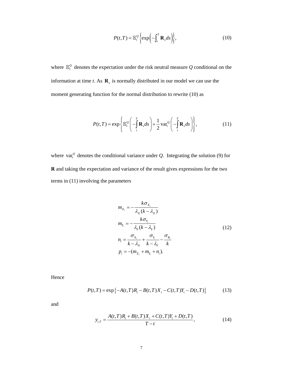$$
P(t,T) = \mathbb{E}_t^Q \left\{ \exp\left(-\int_t^T \mathbf{R}_s ds\right) \right\},\tag{10}
$$

where  $\mathbb{E}_{t}^{\mathcal{Q}}$  denotes the expectation under the risk neutral measure  $Q$  conditional on the information at time *t*. As **R***s* is normally distributed in our model we can use the moment generating function for the normal distribution to rewrite (10) as

$$
P(t,T) = \exp\left\{\mathbb{E}_t^{\mathcal{Q}}\left(-\int_t^T \mathbf{R}_s ds\right) + \frac{1}{2} \operatorname{var}_t^{\mathcal{Q}}\left(-\int_t^T \mathbf{R}_s ds\right)\right\},\tag{11}
$$

where  $var_t^Q$  denotes the conditional variance under *Q*. Integrating the solution (9) for **R** and taking the expectation and variance of the result gives expressions for the two terms in (11) involving the parameters

$$
m_{X_i} = -\frac{k\sigma_{X_i}}{\lambda_X (k - \lambda_X)}
$$
  
\n
$$
m_{Y_i} = -\frac{k\sigma_{Y_i}}{\lambda_Y (k - \lambda_Y)}
$$
  
\n
$$
n_i = \frac{\sigma_{X_i}}{k - \lambda_X} + \frac{\sigma_{Y_i}}{k - \lambda_Y} - \frac{\sigma_{R_i}}{k}
$$
  
\n
$$
p_i = -(m_{X_i} + m_{Y_i} + n_i).
$$
\n(12)

Hence

$$
P(t,T) = \exp\{-A(t,T)R_t - B(t,T)X_t - C(t,T)Y_t - D(t,T)\}
$$
(13)

and

$$
y_{t,T} = \frac{A(t,T)R_t + B(t,T)X_t + C(t,T)Y_t + D(t,T)}{T-t},
$$
\n(14)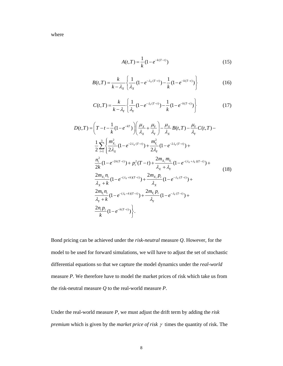where

$$
A(t,T) = \frac{1}{k} (1 - e^{-k(T-t)})
$$
\n(15)

$$
B(t,T) = \frac{k}{k - \lambda_X} \left\{ \frac{1}{\lambda_X} (1 - e^{-\lambda_X(T-t)}) - \frac{1}{k} (1 - e^{-k(T-t)}) \right\}
$$
(16)

$$
C(t,T) = \frac{k}{k - \lambda_Y} \left\{ \frac{1}{\lambda_Y} (1 - e^{-\lambda_Y(T-t)}) - \frac{1}{k} (1 - e^{-k(T-t)}) \right\}
$$
(17)

$$
D(t,T) = \left(T - t - \frac{1}{k}(1 - e^{-kT})\right) \left(\frac{\mu_{X}}{\lambda_{X}} + \frac{\mu_{Y}}{\lambda_{Y}}\right) - \frac{\mu_{X}}{\lambda_{X}}B(t,T) - \frac{\mu_{Y}}{\lambda_{Y}}C(t,T) - \frac{1}{2}\sum_{i=1}^{3} \left\{\frac{m_{X_{i}}^{2}}{2\lambda_{X}}(1 - e^{-2\lambda_{X}(T-t)}) + \frac{m_{Y_{i}}^{2}}{2\lambda_{Y}}(1 - e^{-2\lambda_{Y}(T-t)}) + \frac{n_{i}^{2}}{2k}(1 - e^{-2k(T-t)}) + p_{i}^{2}(T-t) + \frac{2m_{X_{i}}m_{Y_{i}}}{\lambda_{X} + \lambda_{Y}}(1 - e^{-(\lambda_{X} + \lambda_{Y})(T-t)}) + \frac{2m_{X_{i}}p_{i}}{\lambda_{X} + k}(1 - e^{-(\lambda_{X} + k)(T-t)}) + \frac{2m_{X_{i}}p_{i}}{\lambda_{X}}(1 - e^{-\lambda_{X}(T-t)}) + \frac{2m_{Y_{i}}p_{i}}{\lambda_{Y}}(1 - e^{-\lambda_{Y}(T-t)}) + \frac{2m_{Y_{i}}p_{i}}{\lambda_{Y} + k}(1 - e^{-(\lambda_{Y} + k)(T-t)}) + \frac{2m_{Y_{i}}p_{i}}{\lambda_{Y}}(1 - e^{-\lambda_{Y}(T-t)}) + \frac{2n_{Y_{i}}p_{i}}{\lambda_{Y}}(1 - e^{-\lambda_{Y}(T-t)}) + \frac{2n_{Y_{i}}p_{i}}{k}(1 - e^{-k(T-t)})\right\}.
$$
\n(18)

Bond pricing can be achieved under the *risk-neutral* measure *Q*. However, for the model to be used for forward simulations, we will have to adjust the set of stochastic differential equations so that we capture the model dynamics under the *real-world* measure *P*. We therefore have to model the market prices of risk which take us from the risk-neutral measure *Q* to the real-world measure *P*.

Under the real-world measure *P*, we must adjust the drift term by adding the *risk premium* which is given by the *market price of risk* γ times the quantity of risk. The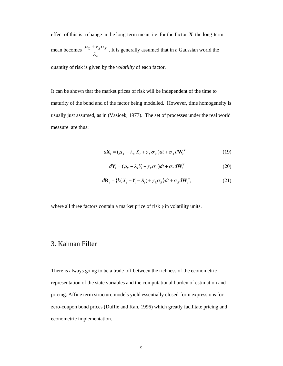effect of this is a change in the long-term mean, i.e. for the factor **X** the long-term mean becomes  $\frac{\mu_X + \gamma_X \sigma_X}{\sigma_X}$ *X*  $\mu_{\scriptscriptstyle X}$  +  $\gamma_{\scriptscriptstyle X} \sigma$  $+\gamma_x \sigma_x$ . It is generally assumed that in a Gaussian world the quantity of risk is given by the *volatility* of each factor.

It can be shown that the market prices of risk will be independent of the time to maturity of the bond and of the factor being modelled. However, time homogeneity is usually just assumed, as in (Vasicek, 1977). The set of processes under the real world measure are thus:

$$
d\mathbf{X}_{t} = (\mu_{X} - \lambda_{X} X_{t} + \gamma_{X} \sigma_{X})dt + \sigma_{X} d\mathbf{W}_{t}^{X}
$$
(19)

$$
d\mathbf{Y}_{t} = (\mu_{Y} - \lambda_{Y} Y_{t} + \gamma_{Y} \sigma_{Y})dt + \sigma_{Y} d\mathbf{W}_{t}^{Y}
$$
 (20)

$$
d\mathbf{R}_t = \{k(X_t + Y_t - R_t) + \gamma_R \sigma_R\}dt + \sigma_R d\mathbf{W}_t^R,
$$
\n(21)

where all three factors contain a market price of risk  $\gamma$  in volatility units.

## 3. Kalman Filter

There is always going to be a trade-off between the richness of the econometric representation of the state variables and the computational burden of estimation and pricing. Affine term structure models yield essentially closed-form expressions for zero-coupon bond prices (Duffie and Kan, 1996) which greatly facilitate pricing and econometric implementation.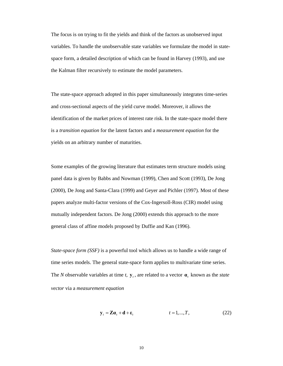The focus is on trying to fit the yields and think of the factors as unobserved input variables. To handle the unobservable state variables we formulate the model in statespace form, a detailed description of which can be found in Harvey (1993), and use the Kalman filter recursively to estimate the model parameters.

The state-space approach adopted in this paper simultaneously integrates time-series and cross-sectional aspects of the yield curve model. Moreover, it allows the identification of the market prices of interest rate risk. In the state-space model there is a *transition equation* for the latent factors and a *measurement equation* for the yields on an arbitrary number of maturities.

Some examples of the growing literature that estimates term structure models using panel data is given by Babbs and Nowman (1999), Chen and Scott (1993), De Jong (2000), De Jong and Santa-Clara (1999) and Geyer and Pichler (1997). Most of these papers analyze multi-factor versions of the Cox-Ingersoll-Ross (CIR) model using mutually independent factors. De Jong (2000) extends this approach to the more general class of affine models proposed by Duffie and Kan (1996).

*State-space form (SSF)* is a powerful tool which allows us to handle a wide range of time series models. The general state-space form applies to multivariate time series. The *N* observable variables at time  $t$ ,  $\mathbf{y}_t$ , are related to a vector  $\mathbf{a}_t$ , known as the *state vector* via a *measurement equation*

$$
\mathbf{y}_t = \mathbf{Z}\mathbf{a}_t + \mathbf{d} + \mathbf{\varepsilon}_t \qquad \qquad t = 1, ..., T, \qquad (22)
$$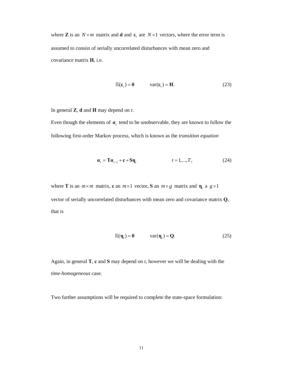where **Z** is an  $N \times m$  matrix and **d** and  $\varepsilon$ <sub>*t*</sub> are  $N \times 1$  vectors, where the error term is assumed to consist of serially uncorrelated disturbances with mean zero and covariance matrix **H**, i.e.

$$
\mathbb{E}(\varepsilon_t) = \mathbf{0} \qquad \text{var}(\varepsilon_t) = \mathbf{H}. \tag{23}
$$

In general **Z**, **d** and **H** may depend on *t*.

Even though the elements of  $\alpha$ , tend to be unobservable, they are known to follow the following first-order Markov process, which is known as the *transition equation*

$$
\mathbf{a}_t = \mathbf{T}\mathbf{a}_{t-1} + \mathbf{c} + \mathbf{S}\mathbf{\eta}_t \qquad \qquad t = 1, ..., T, \qquad (24)
$$

where **T** is an  $m \times m$  matrix, **c** an  $m \times 1$  vector, **S** an  $m \times g$  matrix and  $\eta_t$  a  $g \times 1$ vector of serially uncorrelated disturbances with mean zero and covariance matrix **Q**, that is

$$
\mathbb{E}(\eta_t) = \mathbf{0} \qquad \text{var}(\eta_t) = \mathbf{Q}. \tag{25}
$$

Again, in general **T**, **c** and **S** may depend on *t*, however we will be dealing with the *time-homogeneous* case.

Two further assumptions will be required to complete the state-space formulation: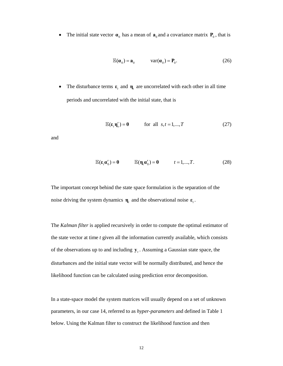• The initial state vector  $\mathbf{a}_0$  has a mean of  $\mathbf{a}_0$  and a covariance matrix  $\mathbf{P}_0$ , that is

$$
\mathbb{E}(\boldsymbol{\alpha}_0) = \boldsymbol{a}_0 \quad \text{var}(\boldsymbol{\alpha}_0) = \boldsymbol{P}_0. \tag{26}
$$

• The disturbance terms  $\varepsilon$ , and  $\eta$ , are uncorrelated with each other in all time periods and uncorrelated with the initial state, that is

$$
\mathbb{E}(\varepsilon_{t}\mathbf{\eta}_{s}') = \mathbf{0} \quad \text{for all } s, t = 1, ..., T \quad (27)
$$

and

$$
\mathbb{E}(\varepsilon_t \alpha'_0) = 0 \qquad \mathbb{E}(\eta_t \alpha'_0) = 0 \qquad t = 1, ..., T. \tag{28}
$$

The important concept behind the state space formulation is the separation of the noise driving the system dynamics  $\mathbf{\eta}_t$  and the observational noise  $\mathbf{\varepsilon}_t$ .

The *Kalman filter* is applied recursively in order to compute the optimal estimator of the state vector at time *t* given all the information currently available, which consists of the observations up to and including  $y_t$ . Assuming a Gaussian state space, the disturbances and the initial state vector will be normally distributed, and hence the likelihood function can be calculated using prediction error decomposition.

In a state-space model the system matrices will usually depend on a set of unknown parameters, in our case 14, referred to as *hyper-parameters* and defined in Table 1 below. Using the Kalman filter to construct the likelihood function and then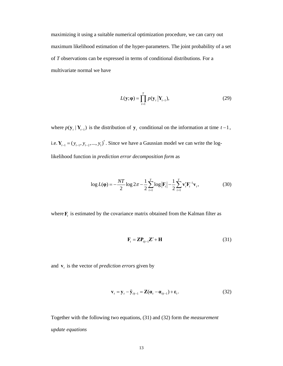maximizing it using a suitable numerical optimization procedure, we can carry out maximum likelihood estimation of the hyper-parameters. The joint probability of a set of *T* observations can be expressed in terms of conditional distributions. For a multivariate normal we have

$$
L(\mathbf{y}; \mathbf{\varphi}) = \prod_{t=1}^{T} p(\mathbf{y}_t | \mathbf{Y}_{t-1}),
$$
\n(29)

where  $p(\mathbf{y}_t | \mathbf{Y}_{t-1})$  is the distribution of  $\mathbf{y}_t$  conditional on the information at time  $t-1$ , i.e.  $Y_{t-1} = (y_{t-1}, y_{t-2},..., y_1)'$ . Since we have a Gaussian model we can write the loglikelihood function in *prediction error decomposition form* as

$$
\log L(\mathbf{\varphi}) = -\frac{NT}{2} \log 2\pi - \frac{1}{2} \sum_{t=1}^{T} \log |\mathbf{F}_t| - \frac{1}{2} \sum_{t=1}^{T} \mathbf{v}_t' \mathbf{F}_t^{-1} \mathbf{v}_t, \tag{30}
$$

where  $\mathbf{F}_t$  is estimated by the covariance matrix obtained from the Kalman filter as

$$
\mathbf{F}_{t} = \mathbf{Z}\mathbf{P}_{t|t-1}\mathbf{Z}' + \mathbf{H}
$$
 (31)

and  $\mathbf{v}_t$  is the vector of *prediction errors* given by

$$
\mathbf{v}_{t} = \mathbf{y}_{t} - \tilde{\mathbf{y}}_{t|t-1} = \mathbf{Z}(\mathbf{\alpha}_{t} - \mathbf{\alpha}_{t|t-1}) + \mathbf{\varepsilon}_{t}.
$$
 (32)

Together with the following two equations, (31) and (32) form the *measurement update equations*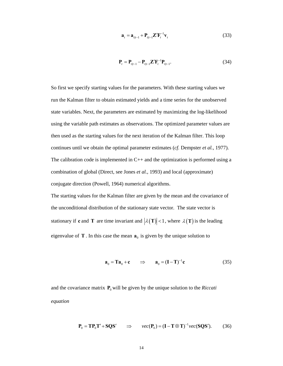$$
\mathbf{a}_{t} = \mathbf{a}_{t|t-1} + \mathbf{P}_{t|t-1} \mathbf{Z}' \mathbf{F}_{t}^{-1} \mathbf{v}_{t}
$$
 (33)

$$
\mathbf{P}_{t} = \mathbf{P}_{t|t-1} - \mathbf{P}_{t|t-1} \mathbf{Z}' \mathbf{F}_{t}^{-1} \mathbf{P}_{t|t-1}.
$$
 (34)

So first we specify starting values for the parameters. With these starting values we run the Kalman filter to obtain estimated yields and a time series for the unobserved state variables. Next, the parameters are estimated by maximizing the log-likelihood using the variable path estimates as observations. The optimized parameter values are then used as the starting values for the next iteration of the Kalman filter. This loop continues until we obtain the optimal parameter estimates (*cf.* Dempster *et al.*, 1977). The calibration code is implemented in  $C_{++}$  and the optimization is performed using a combination of global (Direct, see Jones *et al.*, 1993) and local (approximate) conjugate direction (Powell, 1964) numerical algorithms.

The starting values for the Kalman filter are given by the mean and the covariance of the unconditional distribution of the stationary state vector. The state vector is stationary if **c** and **T** are time invariant and  $|\lambda(T)| < 1$ , where  $\lambda(T)$  is the leading eigenvalue of **T**. In this case the mean  $a_0$  is given by the unique solution to

$$
\mathbf{a}_0 = \mathbf{T}\mathbf{a}_0 + \mathbf{c} \qquad \Rightarrow \qquad \mathbf{a}_0 = (\mathbf{I} - \mathbf{T})^{-1} \mathbf{c} \tag{35}
$$

and the covariance matrix  $P_0$  will be given by the unique solution to the *Riccati equation* 

$$
\mathbf{P}_0 = \mathbf{T} \mathbf{P}_0 \mathbf{T}' + \mathbf{S} \mathbf{Q} \mathbf{S}' \qquad \Rightarrow \qquad \text{vec}(\mathbf{P}_0) = (\mathbf{I} - \mathbf{T} \otimes \mathbf{T})^{-1} \text{vec}(\mathbf{S} \mathbf{Q} \mathbf{S}'). \tag{36}
$$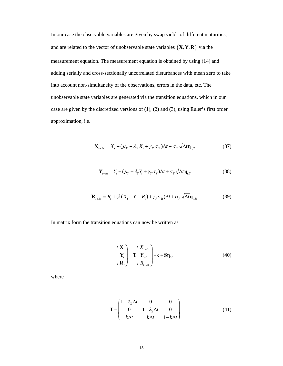In our case the observable variables are given by swap yields of different maturities, and are related to the vector of unobservable state variables  $(X, Y, R)$  via the measurement equation. The measurement equation is obtained by using (14) and adding serially and cross-sectionally uncorrelated disturbances with mean zero to take into account non-simultaneity of the observations, errors in the data, etc. The unobservable state variables are generated via the transition equations, which in our case are given by the discretized versions of (1), (2) and (3), using Euler's first order approximation, i.e.

$$
\mathbf{X}_{t+\Delta t} = X_t + (\mu_X - \lambda_X X_t + \gamma_X \sigma_X) \Delta t + \sigma_X \sqrt{\Delta t} \mathbf{\eta}_{t,X}
$$
(37)

$$
\mathbf{Y}_{t+\Delta t} = Y_t + (\mu_Y - \lambda_Y Y_t + \gamma_Y \sigma_Y) \Delta t + \sigma_Y \sqrt{\Delta t} \mathbf{\eta}_{t,Y}
$$
(38)

$$
\mathbf{R}_{t+\Delta t} = R_t + (k(X_t + Y_t - R_t) + \gamma_R \sigma_R) \Delta t + \sigma_R \sqrt{\Delta t} \mathbf{\eta}_{t,R}.
$$
 (39)

In matrix form the transition equations can now be written as

$$
\begin{pmatrix} \mathbf{X}_{t} \\ \mathbf{Y}_{t} \\ \mathbf{R}_{t} \end{pmatrix} = \mathbf{T} \begin{pmatrix} X_{t-\Delta t} \\ Y_{t-\Delta t} \\ R_{t-\Delta t} \end{pmatrix} + \mathbf{c} + \mathbf{S} \mathbf{\eta}_{t},
$$
\n(40)

where

$$
\mathbf{T} = \begin{pmatrix} 1 - \lambda_x \Delta t & 0 & 0 \\ 0 & 1 - \lambda_y \Delta t & 0 \\ k \Delta t & k \Delta t & 1 - k \Delta t \end{pmatrix}
$$
(41)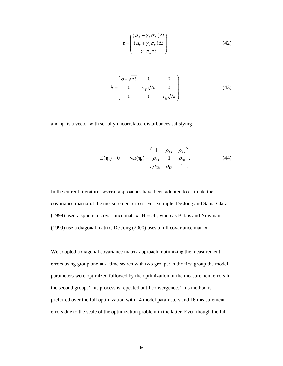$$
\mathbf{c} = \begin{pmatrix} (\mu_X + \gamma_X \sigma_X) \Delta t \\ (\mu_Y + \gamma_Y \sigma_Y) \Delta t \\ \gamma_R \sigma_R \Delta t \end{pmatrix}
$$
(42)

$$
\mathbf{S} = \begin{pmatrix} \sigma_x \sqrt{\Delta t} & 0 & 0 \\ 0 & \sigma_y \sqrt{\Delta t} & 0 \\ 0 & 0 & \sigma_R \sqrt{\Delta t} \end{pmatrix}
$$
(43)

and  $\mathbf{\eta}_t$  is a vector with serially uncorrelated disturbances satisfying

$$
\mathbb{E}(\mathbf{\eta}_{t}) = \mathbf{0} \quad \text{var}(\mathbf{\eta}_{t}) = \begin{pmatrix} 1 & \rho_{XY} & \rho_{XR} \\ \rho_{XY} & 1 & \rho_{YR} \\ \rho_{XR} & \rho_{YR} & 1 \end{pmatrix} . \tag{44}
$$

In the current literature, several approaches have been adopted to estimate the covariance matrix of the measurement errors. For example, De Jong and Santa Clara (1999) used a spherical covariance matrix,  $H = hI$ , whereas Babbs and Nowman (1999) use a diagonal matrix. De Jong (2000) uses a full covariance matrix.

We adopted a diagonal covariance matrix approach, optimizing the measurement errors using group one-at-a-time search with two groups: in the first group the model parameters were optimized followed by the optimization of the measurement errors in the second group. This process is repeated until convergence. This method is preferred over the full optimization with 14 model parameters and 16 measurement errors due to the scale of the optimization problem in the latter. Even though the full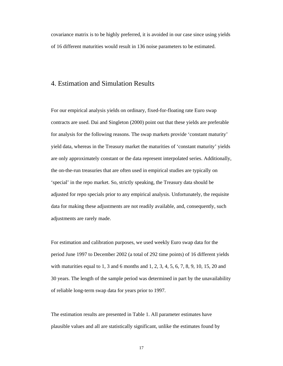covariance matrix is to be highly preferred, it is avoided in our case since using yields of 16 different maturities would result in 136 noise parameters to be estimated.

#### 4. Estimation and Simulation Results

For our empirical analysis yields on ordinary, fixed-for-floating rate Euro swap contracts are used. Dai and Singleton (2000) point out that these yields are preferable for analysis for the following reasons. The swap markets provide 'constant maturity' yield data, whereas in the Treasury market the maturities of 'constant maturity' yields are only approximately constant or the data represent interpolated series. Additionally, the on-the-run treasuries that are often used in empirical studies are typically on 'special' in the repo market. So, strictly speaking, the Treasury data should be adjusted for repo specials prior to any empirical analysis. Unfortunately, the requisite data for making these adjustments are not readily available, and, consequently, such adjustments are rarely made.

For estimation and calibration purposes, we used weekly Euro swap data for the period June 1997 to December 2002 (a total of 292 time points) of 16 different yields with maturities equal to 1, 3 and 6 months and 1, 2, 3, 4, 5, 6, 7, 8, 9, 10, 15, 20 and 30 years. The length of the sample period was determined in part by the unavailability of reliable long-term swap data for years prior to 1997.

The estimation results are presented in Table 1. All parameter estimates have plausible values and all are statistically significant, unlike the estimates found by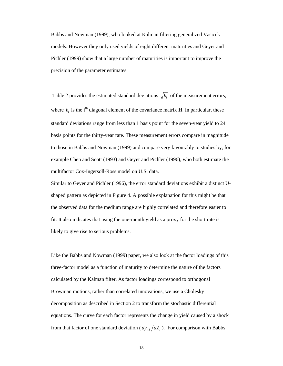Babbs and Nowman (1999), who looked at Kalman filtering generalized Vasicek models. However they only used yields of eight different maturities and Geyer and Pichler (1999) show that a large number of maturities is important to improve the precision of the parameter estimates.

Table 2 provides the estimated standard deviations  $\sqrt{h_i}$  of the measurement errors, where  $h_i$  is the i<sup>th</sup> diagonal element of the covariance matrix **H**. In particular, these standard deviations range from less than 1 basis point for the seven-year yield to 24 basis points for the thirty-year rate. These measurement errors compare in magnitude to those in Babbs and Nowman (1999) and compare very favourably to studies by, for example Chen and Scott (1993) and Geyer and Pichler (1996), who both estimate the multifactor Cox-Ingersoll-Ross model on U.S. data.

Similar to Geyer and Pichler (1996), the error standard deviations exhibit a distinct Ushaped pattern as depicted in Figure 4. A possible explanation for this might be that the observed data for the medium range are highly correlated and therefore easier to fit. It also indicates that using the one-month yield as a proxy for the short rate is likely to give rise to serious problems.

Like the Babbs and Nowman (1999) paper, we also look at the factor loadings of this three-factor model as a function of maturity to determine the nature of the factors calculated by the Kalman filter. As factor loadings correspond to orthogonal Brownian motions, rather than correlated innovations, we use a Cholesky decomposition as described in Section 2 to transform the stochastic differential equations. The curve for each factor represents the change in yield caused by a shock from that factor of one standard deviation ( $dy_{LT}/dZ_i$ ). For comparison with Babbs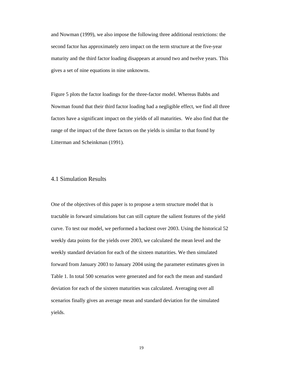and Nowman (1999), we also impose the following three additional restrictions: the second factor has approximately zero impact on the term structure at the five-year maturity and the third factor loading disappears at around two and twelve years. This gives a set of nine equations in nine unknowns.

Figure 5 plots the factor loadings for the three-factor model. Whereas Babbs and Nowman found that their third factor loading had a negligible effect, we find all three factors have a significant impact on the yields of all maturities. We also find that the range of the impact of the three factors on the yields is similar to that found by Litterman and Scheinkman (1991).

#### 4.1 Simulation Results

One of the objectives of this paper is to propose a term structure model that is tractable in forward simulations but can still capture the salient features of the yield curve. To test our model, we performed a backtest over 2003. Using the historical 52 weekly data points for the yields over 2003, we calculated the mean level and the weekly standard deviation for each of the sixteen maturities. We then simulated forward from January 2003 to January 2004 using the parameter estimates given in Table 1. In total 500 scenarios were generated and for each the mean and standard deviation for each of the sixteen maturities was calculated. Averaging over all scenarios finally gives an average mean and standard deviation for the simulated yields.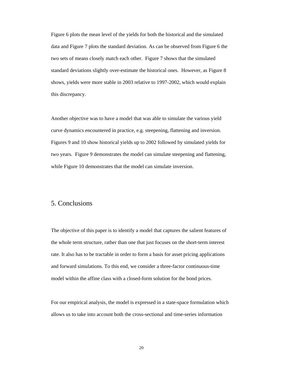Figure 6 plots the mean level of the yields for both the historical and the simulated data and Figure 7 plots the standard deviation. As can be observed from Figure 6 the two sets of means closely match each other. Figure 7 shows that the simulated standard deviations slightly over-estimate the historical ones. However, as Figure 8 shows, yields were more stable in 2003 relative to 1997-2002, which would explain this discrepancy.

Another objective was to have a model that was able to simulate the various yield curve dynamics encountered in practice, e.g. steepening, flattening and inversion. Figures 9 and 10 show historical yields up to 2002 followed by simulated yields for two years. Figure 9 demonstrates the model can simulate steepening and flattening, while Figure 10 demonstrates that the model can simulate inversion.

#### 5. Conclusions

The objective of this paper is to identify a model that captures the salient features of the whole term structure, rather than one that just focuses on the short-term interest rate. It also has to be tractable in order to form a basis for asset pricing applications and forward simulations. To this end, we consider a three-factor continuous-time model within the affine class with a closed-form solution for the bond prices.

For our empirical analysis, the model is expressed in a state-space formulation which allows us to take into account both the cross-sectional and time-series information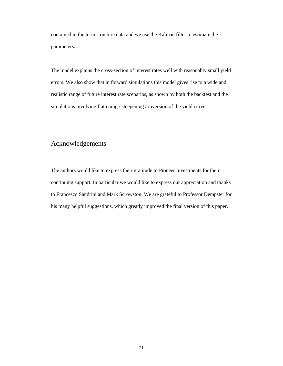contained in the term structure data and we use the Kalman filter to estimate the parameters.

The model explains the cross-section of interest rates well with reasonably small yield errors. We also show that in forward simulations this model gives rise to a wide and realistic range of future interest rate scenarios, as shown by both the backtest and the simulations involving flattening / steepening / inversion of the yield curve.

# Acknowledgements

The authors would like to express their gratitude to Pioneer Investments for their continuing support. In particular we would like to express our appreciation and thanks to Francesco Sandrini and Mark Scrowston. We are grateful to Professor Dempster for his many helpful suggestions, which greatly improved the final version of this paper.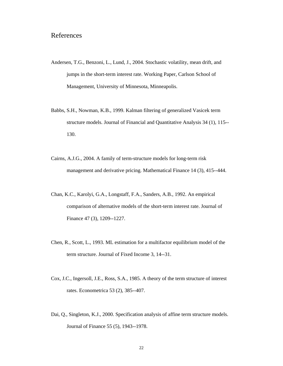# References

- Andersen, T.G., Benzoni, L., Lund, J., 2004. Stochastic volatility, mean drift, and jumps in the short-term interest rate. Working Paper, Carlson School of Management, University of Minnesota, Minneapolis.
- Babbs, S.H., Nowman, K.B., 1999. Kalman filtering of generalized Vasicek term structure models. Journal of Financial and Quantitative Analysis 34 (1), 115-- 130.
- Cairns, A.J.G., 2004. A family of term-structure models for long-term risk management and derivative pricing. Mathematical Finance 14 (3), 415--444.
- Chan, K.C., Karolyi, G.A., Longstaff, F.A., Sanders, A.B., 1992. An empirical comparison of alternative models of the short-term interest rate. Journal of Finance 47 (3), 1209--1227.
- Chen, R., Scott, L., 1993. ML estimation for a multifactor equilibrium model of the term structure. Journal of Fixed Income 3, 14--31.
- Cox, J.C., Ingersoll, J.E., Ross, S.A., 1985. A theory of the term structure of interest rates. Econometrica 53 (2), 385--407.
- Dai, Q., Singleton, K.J., 2000. Specification analysis of affine term structure models. Journal of Finance 55 (5), 1943--1978.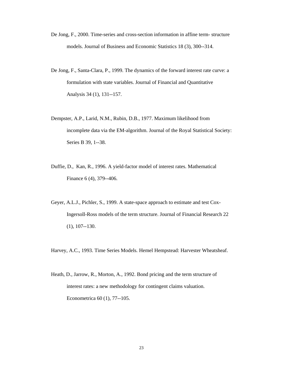- De Jong, F., 2000. Time-series and cross-section information in affine term- structure models. Journal of Business and Economic Statistics 18 (3), 300--314.
- De Jong, F., Santa-Clara, P., 1999. The dynamics of the forward interest rate curve: a formulation with state variables. Journal of Financial and Quantitative Analysis 34 (1), 131--157.
- Dempster, A.P., Larid, N.M., Rubin, D.B., 1977. Maximum likelihood from incomplete data via the EM-algorithm. Journal of the Royal Statistical Society: Series B 39, 1--38.
- Duffie, D., Kan, R., 1996. A yield-factor model of interest rates. Mathematical Finance 6 (4), 379--406.
- Geyer, A.L.J., Pichler, S., 1999. A state-space approach to estimate and test Cox-Ingersoll-Ross models of the term structure. Journal of Financial Research 22 (1), 107--130.

Harvey, A.C., 1993. Time Series Models*.* Hemel Hempstead: Harvester Wheatsheaf.

Heath, D., Jarrow, R., Morton, A., 1992. Bond pricing and the term structure of interest rates: a new methodology for contingent claims valuation. Econometrica 60 (1), 77--105.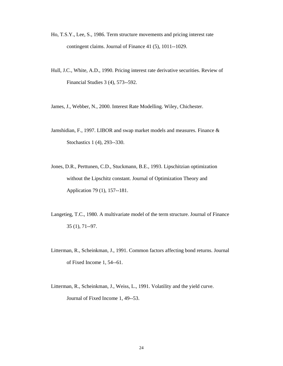- Ho, T.S.Y., Lee, S., 1986. Term structure movements and pricing interest rate contingent claims. Journal of Finance 41 (5), 1011--1029.
- Hull, J.C., White, A.D., 1990. Pricing interest rate derivative securities. Review of Financial Studies 3 (4), 573--592.
- James, J., Webber, N., 2000. Interest Rate Modelling. Wiley, Chichester.
- Jamshidian, F., 1997. LIBOR and swap market models and measures. Finance & Stochastics 1 (4), 293--330.
- Jones, D.R., Perttunen, C.D., Stuckmann, B.E., 1993. Lipschitzian optimization without the Lipschitz constant. Journal of Optimization Theory and Application 79 (1), 157--181.
- Langetieg, T.C., 1980. A multivariate model of the term structure. Journal of Finance 35 (1), 71--97.
- Litterman, R., Scheinkman, J., 1991. Common factors affecting bond returns. Journal of Fixed Income 1, 54--61.
- Litterman, R., Scheinkman, J., Weiss, L., 1991. Volatility and the yield curve. Journal of Fixed Income 1, 49--53.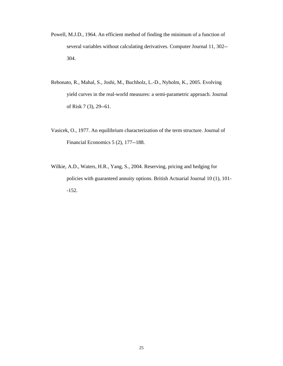- Powell, M.J.D., 1964. An efficient method of finding the minimum of a function of several variables without calculating derivatives. Computer Journal 11, 302-- 304.
- Rebonato, R., Mahal, S., Joshi, M., Buchholz, L.-D., Nyholm, K., 2005. Evolving yield curves in the real-world measures: a semi-parametric approach. Journal of Risk 7 (3), 29--61.
- Vasicek, O., 1977. An equilibrium characterization of the term structure. Journal of Financial Economics 5 (2), 177--188.
- Wilkie, A.D., Waters, H.R., Yang, S., 2004. Reserving, pricing and hedging for policies with guaranteed annuity options. British Actuarial Journal 10 (1), 101- -152.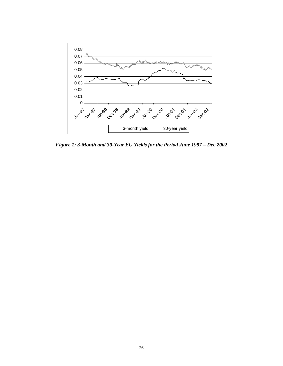

*Figure 1: 3-Month and 30-Year EU Yields for the Period June 1997 – Dec 2002*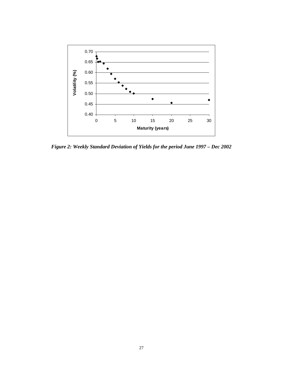

*Figure 2: Weekly Standard Deviation of Yields for the period June 1997 – Dec 2002*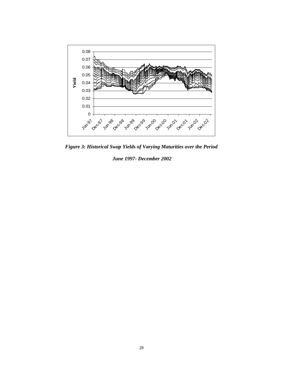

*Figure 3: Historical Swap Yields of Varying Maturities over the Period* 

 *June 1997- December 2002*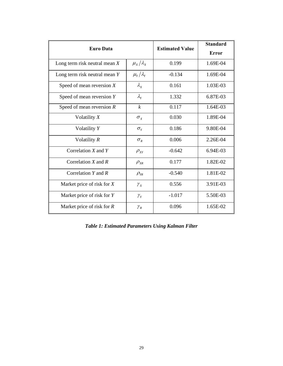| <b>Euro Data</b>                |                       | <b>Estimated Value</b> | <b>Standard</b> |
|---------------------------------|-----------------------|------------------------|-----------------|
|                                 |                       |                        | <b>Error</b>    |
| Long term risk neutral mean $X$ | $\mu_{X}/\lambda_{X}$ | 0.199                  | 1.69E-04        |
| Long term risk neutral mean $Y$ | $\mu_{Y}/\lambda_{Y}$ | $-0.134$               | 1.69E-04        |
| Speed of mean reversion $X$     | $\lambda_{\rm x}$     | 0.161                  | 1.03E-03        |
| Speed of mean reversion $Y$     | $\lambda_{\rm y}$     | 1.332                  | 6.87E-03        |
| Speed of mean reversion $R$     | $\boldsymbol{k}$      | 0.117                  | 1.64E-03        |
| Volatility $X$                  | $\sigma_{\rm x}$      | 0.030                  | 1.89E-04        |
| Volatility Y                    | $\sigma_{Y}$          | 0.186                  | 9.80E-04        |
| Volatility R                    | $\sigma_{R}$          | 0.006                  | 2.26E-04        |
| Correlation $X$ and $Y$         | $\rho_{XY}$           | $-0.642$               | 6.94E-03        |
| Correlation $X$ and $R$         | $\rho_{_{X\!R}}$      | 0.177                  | 1.82E-02        |
| Correlation $Y$ and $R$         | $\rho_{_{Y\!R}}$      | $-0.540$               | 1.81E-02        |
| Market price of risk for X      | $\gamma_{X}$          | 0.556                  | 3.91E-03        |
| Market price of risk for Y      | $\gamma_Y^{}$         | $-1.017$               | 5.50E-03        |
| Market price of risk for $R$    | $\gamma_{R}$          | 0.096                  | 1.65E-02        |

*Table 1: Estimated Parameters Using Kalman Filter*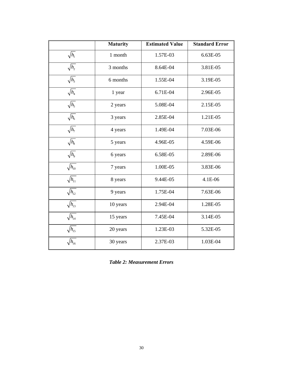|                    | <b>Maturity</b> | <b>Estimated Value</b> | <b>Standard Error</b> |
|--------------------|-----------------|------------------------|-----------------------|
| $\sqrt{h_1}$       | 1 month         | 1.57E-03               | 6.63E-05              |
| $\sqrt{h_2}$       | 3 months        | 8.64E-04               | 3.81E-05              |
| $\sqrt{h_3}$       | 6 months        | 1.55E-04               | 3.19E-05              |
| $\sqrt{h_4}$       | 1 year          | 6.71E-04               | 2.96E-05              |
| $\sqrt{h_5}$       | 2 years         | 5.08E-04               | 2.15E-05              |
| $\sqrt{h_{6}}$     | 3 years         | 2.85E-04               | 1.21E-05              |
| $\sqrt{h_{7}}$     | 4 years         | 1.49E-04               | 7.03E-06              |
| $\sqrt{h_{\rm s}}$ | 5 years         | 4.96E-05               | 4.59E-06              |
| $\sqrt{h_{9}}$     | 6 years         | 6.58E-05               | 2.89E-06              |
| $\sqrt{h_{10}}$    | 7 years         | 1.00E-05               | 3.83E-06              |
| $\sqrt{h_{11}}$    | 8 years         | 9.44E-05               | 4.1E-06               |
| $\sqrt{h_{12}}$    | 9 years         | 1.75E-04               | 7.63E-06              |
| $\sqrt{h_{13}}$    | 10 years        | 2.94E-04               | 1.28E-05              |
| $\sqrt{h_{14}}$    | 15 years        | 7.45E-04               | 3.14E-05              |
| $\sqrt{h_{15}}$    | 20 years        | 1.23E-03               | 5.32E-05              |
| $\sqrt{h_{16}}$    | 30 years        | 2.37E-03               | 1.03E-04              |

*Table 2: Measurement Errors*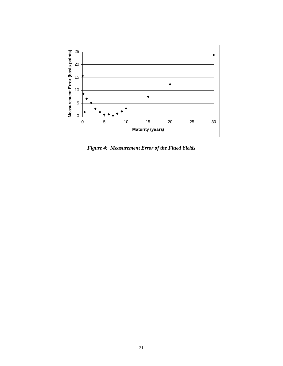

*Figure 4: Measurement Error of the Fitted Yields*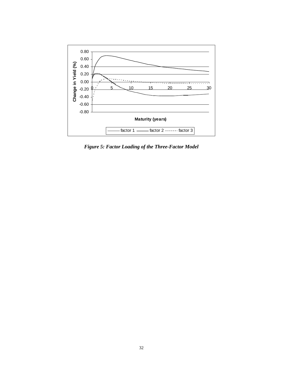

*Figure 5: Factor Loading of the Three-Factor Model*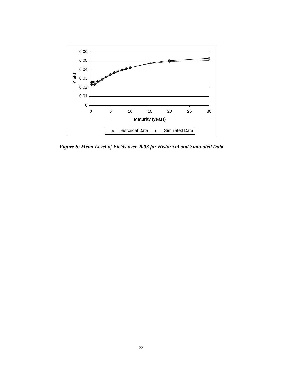

*Figure 6: Mean Level of Yields over 2003 for Historical and Simulated Data*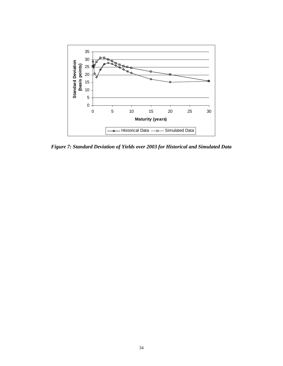

*Figure 7: Standard Deviation of Yields over 2003 for Historical and Simulated Data*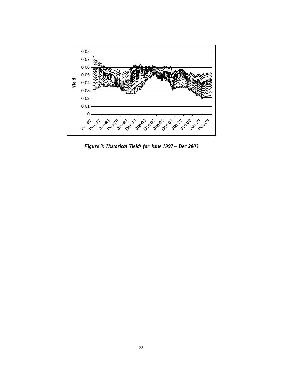

*Figure 8: Historical Yields for June 1997 – Dec 2003*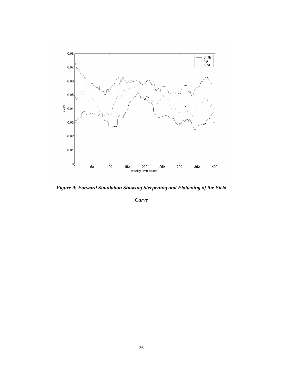

*Figure 9: Forward Simulation Showing Steepening and Flattening of the Yield* 

*Curve*